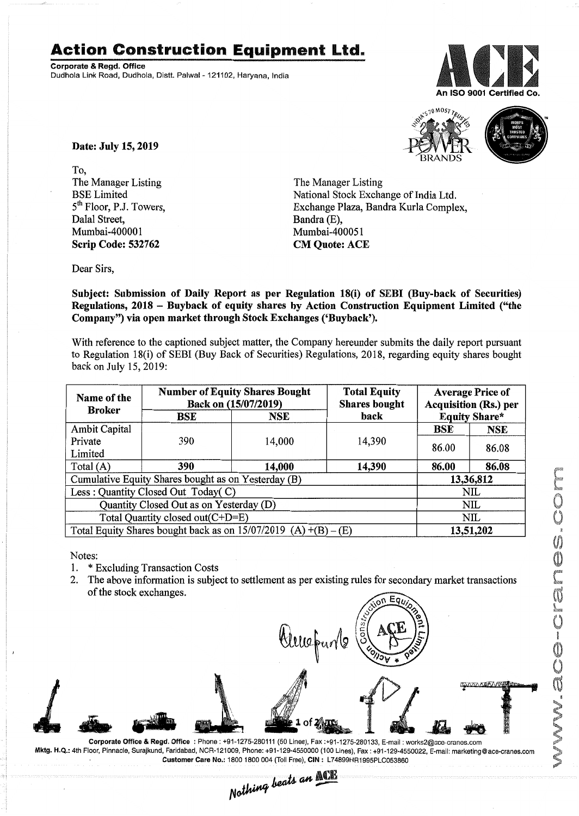## **Action Construction Equipment Ltd.**

Corporate & Regd. Office Dudhola Link Road, Dudhola, Distt. Palwal- 121102, Haryana, India





Date: July 15, 2019

To, The Manager Listing BSE Limited 5<sup>th</sup> Floor, P.J. Towers, Dalal Street, Mumbai-400001 Scrip Code: 532762

The Manager Listing National Stock Exchange of India Ltd. Exchange Plaza, Bandra Kurla Complex, Bandra (E), Mumbai-400051 CM Quote: ACE

Dear Sirs,

Subject: Submission of Daily Report as per Regulation 18(i) of SEBI (Buy-back of Securities) Regulations, 2018 - Buyback of equity shares by Action Construction Equipment Limited ("the Company") via open market through Stock Exchanges ('Buyback').

With reference to the captioned subject matter, the Company hereunder submits the daily report pursuant to Regulation 18(i) of SEBI (Buy Back of Securities) Regulations, 2018, regarding equity shares bought back on July 15,2019:

| Name of the<br><b>Broker</b>                                      | <b>Number of Equity Shares Bought</b><br>Back on (15/07/2019) |        | <b>Total Equity</b><br><b>Shares bought</b> | <b>Average Price of</b><br><b>Acquisition (Rs.) per</b> |            |  |
|-------------------------------------------------------------------|---------------------------------------------------------------|--------|---------------------------------------------|---------------------------------------------------------|------------|--|
|                                                                   | BSE                                                           | NSE    | <b>Equity Share*</b><br>back                |                                                         |            |  |
| <b>Ambit Capital</b>                                              |                                                               |        |                                             | <b>BSE</b>                                              | <b>NSE</b> |  |
| Private                                                           | 390                                                           | 14,000 | 14,390                                      | 86.00                                                   | 86.08      |  |
| Limited                                                           |                                                               |        |                                             |                                                         |            |  |
| Total $(A)$                                                       | 390                                                           | 14,000 | 14,390                                      | 86.00                                                   | 86.08      |  |
| Cumulative Equity Shares bought as on Yesterday (B)               |                                                               |        |                                             |                                                         | 13,36,812  |  |
| Less: Quantity Closed Out Today(C)                                |                                                               |        |                                             |                                                         | <b>NIL</b> |  |
| Quantity Closed Out as on Yesterday (D)                           |                                                               |        |                                             |                                                         | NIL        |  |
| Total Quantity closed out(C+D=E)                                  |                                                               |        |                                             |                                                         | NIL.       |  |
| Total Equity Shares bought back as on $15/07/2019$ (A) +(B) – (E) |                                                               |        |                                             |                                                         | 13,51,202  |  |

Notes:

- 1. \* Excluding Transaction Costs
- 2. The above information is subject to settlement as per existing rules for secondary market transactions of the stock exchanges.



Corporate Office & Regd. Office: Phone: +91-1275-280111 (50 Lines), Fax:+91-1275-280133, E-mail: works2@ace·cranes.com Mkt9· H.Q.: 4th Floor, Pinnacle, Surajkund, Faridabad, NCR-121009, Phone: +91-129-4550000 (100 Lines), Fax: +91-129-4550022, E-mail: marketing@ace-cranes.com